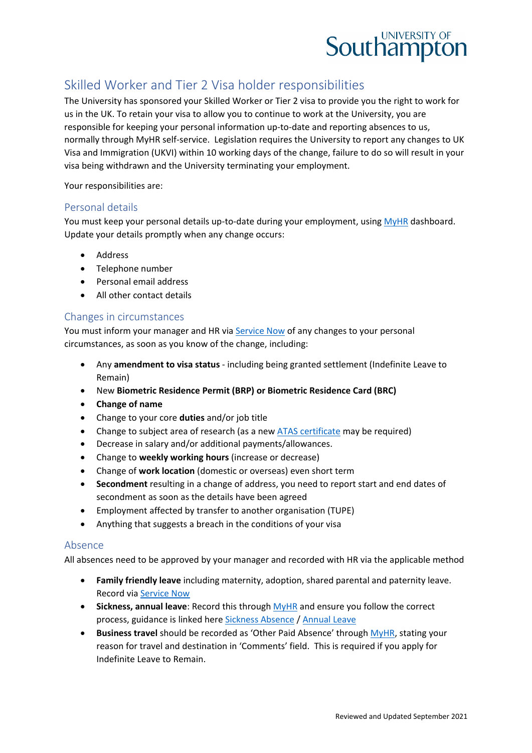

# Skilled Worker and Tier 2 Visa holder responsibilities

The University has sponsored your Skilled Worker or Tier 2 visa to provide you the right to work for us in the UK. To retain your visa to allow you to continue to work at the University, you are responsible for keeping your personal information up-to-date and reporting absences to us, normally through MyHR self-service. Legislation requires the University to report any changes to UK Visa and Immigration (UKVI) within 10 working days of the change, failure to do so will result in your visa being withdrawn and the University terminating your employment.

Your responsibilities are:

#### Personal details

You must keep your personal details up-to-date during your employment, using [MyHR](https://myhr.soton.ac.uk/dashboard/dashboard-ui/index.html#/landing) dashboard. Update your details promptly when any change occurs:

- Address
- Telephone number
- Personal email address
- All other contact details

#### Changes in circumstances

You must inform your manager and HR via [Service Now](https://sotonproduction.service-now.com/serviceportal?id=sc_category&catalog_id=67f29765db9857406f3df57eaf961941) of any changes to your personal circumstances, as soon as you know of the change, including:

- Any **amendment to visa status** including being granted settlement (Indefinite Leave to Remain)
- New **Biometric Residence Permit (BRP) or Biometric Residence Card (BRC)**
- **Change of name**
- Change to your core **duties** and/or job title
- Change to subject area of research (as a new [ATAS certificate](https://www.gov.uk/guidance/academic-technology-approval-scheme) may be required)
- Decrease in salary and/or additional payments/allowances.
- Change to **weekly working hours** (increase or decrease)
- Change of **work location** (domestic or overseas) even short term
- **Secondment** resulting in a change of address, you need to report start and end dates of secondment as soon as the details have been agreed
- Employment affected by transfer to another organisation (TUPE)
- Anything that suggests a breach in the conditions of your visa

#### Absence

All absences need to be approved by your manager and recorded with HR via the applicable method

- **Family friendly leave** including maternity, adoption, shared parental and paternity leave. Record via [Service Now](https://sotonproduction.service-now.com/serviceportal?id=sc_category&catalog_id=67f29765db9857406f3df57eaf961941)
- **Sickness, annual leave**: Record this through [MyHR](https://myhr.soton.ac.uk/dashboard/dashboard-ui/index.html#/landing) and ensure you follow the correct process, guidance is linked here [Sickness Absence](https://www.southampton.ac.uk/hr/services/reporting-sickness/index.page) / [Annual Leave](https://www.southampton.ac.uk/hr/services/leave-entitlement/index.page)
- **Business travel** should be recorded as 'Other Paid Absence' throug[h MyHR,](https://myhr.soton.ac.uk/dashboard/dashboard-ui/index.html#/landing) stating your reason for travel and destination in 'Comments' field. This is required if you apply for Indefinite Leave to Remain.